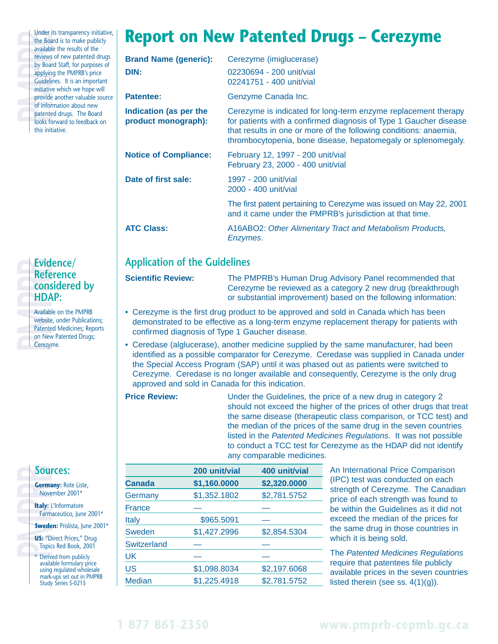Under its transparency initiative,<br>the Board is to make publicly<br>available the results of the<br>reviews of new patented drugs<br>by Board Staff, for purposes of<br>applying the PMPRB's price<br>Guidelines. It is an important<br>initiati the Board is to make publicly available the results of the reviews of new patented drugs by Board Staff, for purposes of applying the PMPRB's price Guidelines. It is an important initiative which we hope will provide another valuable source of information about new patented drugs. The Board looks forward to feedback on this initiative.

## **Report on New Patented Drugs – Cerezyme**

| <b>Brand Name (generic):</b><br>DIN:          | Cerezyme (imiglucerase)<br>02230694 - 200 unit/vial<br>02241751 - 400 unit/vial                                                                                                                                                                                           |
|-----------------------------------------------|---------------------------------------------------------------------------------------------------------------------------------------------------------------------------------------------------------------------------------------------------------------------------|
| Patentee:                                     | Genzyme Canada Inc.                                                                                                                                                                                                                                                       |
| Indication (as per the<br>product monograph): | Cerezyme is indicated for long-term enzyme replacement therapy<br>for patients with a confirmed diagnosis of Type 1 Gaucher disease<br>that results in one or more of the following conditions: anaemia,<br>thrombocytopenia, bone disease, hepatomegaly or splenomegaly. |
| <b>Notice of Compliance:</b>                  | February 12, 1997 - 200 unit/vial<br>February 23, 2000 - 400 unit/vial                                                                                                                                                                                                    |
| Date of first sale:                           | 1997 - 200 unit/vial<br>2000 - 400 unit/vial                                                                                                                                                                                                                              |
|                                               | The first patent pertaining to Cerezyme was issued on May 22, 2001<br>and it came under the PMPRB's jurisdiction at that time.                                                                                                                                            |
| <b>ATC Class:</b>                             | A16ABO2: Other Alimentary Tract and Metabolism Products,<br>Enzymes.                                                                                                                                                                                                      |

## **Application of the Guidelines**

**Scientific Review:** The PMPRB's Human Drug Advisory Panel recommended that Cerezyme be reviewed as a category 2 new drug (breakthrough or substantial improvement) based on the following information:

- Cerezyme is the first drug product to be approved and sold in Canada which has been demonstrated to be effective as a long-term enzyme replacement therapy for patients with confirmed diagnosis of Type 1 Gaucher disease.
- Ceredase (alglucerase), another medicine supplied by the same manufacturer, had been identified as a possible comparator for Cerezyme. Ceredase was supplied in Canada under the Special Access Program (SAP) until it was phased out as patients were switched to Cerezyme. Ceredase is no longer available and consequently, Cerezyme is the only drug approved and sold in Canada for this indication.
- **Price Review:** Under the Guidelines, the price of a new drug in category 2 should not exceed the higher of the prices of other drugs that treat the same disease (therapeutic class comparison, or TCC test) and the median of the prices of the same drug in the seven countries listed in the Patented Medicines Regulations. It was not possible to conduct a TCC test for Cerezyme as the HDAP did not identify any comparable medicines.

|               | 200 unit/vial | 400 unit/vial |
|---------------|---------------|---------------|
| <b>Canada</b> | \$1,160.0000  | \$2,320.0000  |
| Germany       | \$1,352.1802  | \$2,781.5752  |
| <b>France</b> |               |               |
| <b>Italy</b>  | \$965.5091    |               |
| Sweden        | \$1,427.2996  | \$2,854.5304  |
| Switzerland   |               |               |
| UK            |               |               |
| US            | \$1,098.8034  | \$2,197.6068  |
| <b>Median</b> | \$1,225.4918  | \$2,781.5752  |
|               |               |               |

An International Price Comparison (IPC) test was conducted on each strength of Cerezyme. The Canadian price of each strength was found to be within the Guidelines as it did not exceed the median of the prices for the same drug in those countries in which it is being sold.

The Patented Medicines Regulations require that patentees file publicly available prices in the seven countries listed therein (see ss. 4(1)(g)).

## **Evidence/**<br> **Reference**<br> **Considered |<br>
HDAP:**<br>
Available on the PMP<br>
website, under Public<br>
Patented Medicines;<br>
on New Patented Driver<br>
Cerezyme.<br> **Sources:**<br> **Consider S-0214**<br> **Examplementage:**<br> **Examplementage:**<br> **Ex Reference considered by HDAP:**

Available on the PMPRB website, under Publications; Patented Medicines; Reports on New Patented Drugs; Cerezyme.

## **Sources:**

**Germany:** Rote Liste, November 2001\*

**Soul**<br> **Germa**<br>
Nove<br> **Italy:** L<br>
Farm<br> **Swede<br>
US:** "D<br>
Topic **Italy:** L'Informatore Farmaceutico, June 2001\*

**Sweden: Prislista, June 2001\*** 

- **US:** "Direct Prices," Drug Topics Red Book, 2001
- \* Derived from publicly available formulary price using regulated wholesale mark-ups set out in PMPRB<br>Study Series S-0215